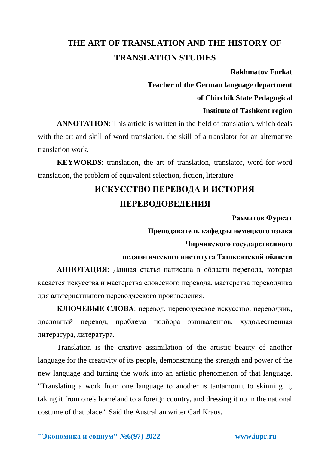## **THE ART OF TRANSLATION AND THE HISTORY OF TRANSLATION STUDIES**

#### **Rakhmatov Furkat**

**Teacher of the German language department of Chirchik State Pedagogical** 

## **Institute of Tashkent region**

**ANNOTATION**: This article is written in the field of translation, which deals with the art and skill of word translation, the skill of a translator for an alternative translation work.

**KEYWORDS**: translation, the art of translation, translator, word-for-word translation, the problem of equivalent selection, fiction, literature

# **ИСКУССТВО ПЕРЕВОДА И ИСТОРИЯ ПЕРЕВОДОВЕДЕНИЯ**

### **Рахматов Фуркат**

### **Преподаватель кафедры немецкого языка**

#### **Чирчикского государственного**

#### **педагогического института Ташкентской области**

**АННОТАЦИЯ**: Данная статья написана в области перевода, которая касается искусства и мастерства словесного перевода, мастерства переводчика для альтернативного переводческого произведения.

**КЛЮЧЕВЫЕ СЛОВА**: перевод, переводческое искусство, переводчик, дословный перевод, проблема подбора эквивалентов, художественная литература, литература.

Translation is the creative assimilation of the artistic beauty of another language for the creativity of its people, demonstrating the strength and power of the new language and turning the work into an artistic phenomenon of that language. "Translating a work from one language to another is tantamount to skinning it, taking it from one's homeland to a foreign country, and dressing it up in the national costume of that place." Said the Australian writer Carl Kraus.

**\_\_\_\_\_\_\_\_\_\_\_\_\_\_\_\_\_\_\_\_\_\_\_\_\_\_\_\_\_\_\_\_\_\_\_\_\_\_\_\_\_\_\_\_\_\_\_\_\_\_\_\_\_\_\_\_\_\_\_\_\_\_\_\_**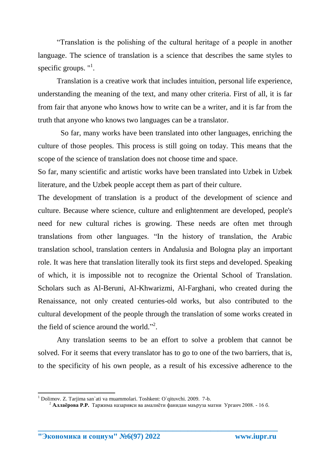"Translation is the polishing of the cultural heritage of a people in another language. The science of translation is a science that describes the same styles to specific groups.  $"$ <sup>1</sup>.

Translation is a creative work that includes intuition, personal life experience, understanding the meaning of the text, and many other criteria. First of all, it is far from fair that anyone who knows how to write can be a writer, and it is far from the truth that anyone who knows two languages can be a translator.

 So far, many works have been translated into other languages, enriching the culture of those peoples. This process is still going on today. This means that the scope of the science of translation does not choose time and space.

So far, many scientific and artistic works have been translated into Uzbek in Uzbek literature, and the Uzbek people accept them as part of their culture.

The development of translation is a product of the development of science and culture. Because where science, culture and enlightenment are developed, people's need for new cultural riches is growing. These needs are often met through translations from other languages. "In the history of translation, the Arabic translation school, translation centers in Andalusia and Bologna play an important role. It was here that translation literally took its first steps and developed. Speaking of which, it is impossible not to recognize the Oriental School of Translation. Scholars such as Al-Beruni, Al-Khwarizmi, Al-Farghani, who created during the Renaissance, not only created centuries-old works, but also contributed to the cultural development of the people through the translation of some works created in the field of science around the world."<sup>2</sup>.

Any translation seems to be an effort to solve a problem that cannot be solved. For it seems that every translator has to go to one of the two barriers, that is, to the specificity of his own people, as a result of his excessive adherence to the

**\_\_\_\_\_\_\_\_\_\_\_\_\_\_\_\_\_\_\_\_\_\_\_\_\_\_\_\_\_\_\_\_\_\_\_\_\_\_\_\_\_\_\_\_\_\_\_\_\_\_\_\_\_\_\_\_\_\_\_\_\_\_\_\_**

**.** 

<sup>1</sup> Dolimov. Z. Tarjima san`ati va muammolari. Toshkent: O`qituvchi. 2009. 7-b.

<sup>2</sup> **Aллаёрова P.P.**Таржима назарияси ва амалиёти фанидан маъруза матни Урганч 2008. - 16 б.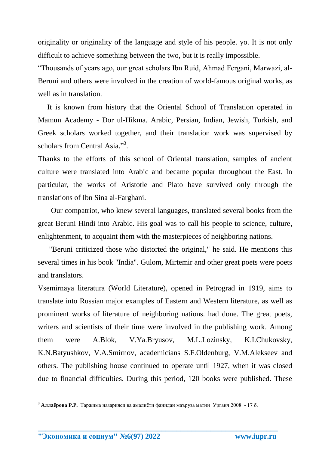originality or originality of the language and style of his people. yo. It is not only difficult to achieve something between the two, but it is really impossible.

"Thousands of years ago, our great scholars Ibn Ruid, Ahmad Fergani, Marwazi, al-Beruni and others were involved in the creation of world-famous original works, as well as in translation.

 It is known from history that the Oriental School of Translation operated in Mamun Academy - Dor ul-Hikma. Arabic, Persian, Indian, Jewish, Turkish, and Greek scholars worked together, and their translation work was supervised by scholars from Central Asia."<sup>3</sup>.

Thanks to the efforts of this school of Oriental translation, samples of ancient culture were translated into Arabic and became popular throughout the East. In particular, the works of Aristotle and Plato have survived only through the translations of Ibn Sina al-Farghani.

 Our compatriot, who knew several languages, translated several books from the great Beruni Hindi into Arabic. His goal was to call his people to science, culture, enlightenment, to acquaint them with the masterpieces of neighboring nations.

 "Beruni criticized those who distorted the original," he said. He mentions this several times in his book "India". Gulom, Mirtemir and other great poets were poets and translators.

Vsemirnaya literatura (World Literature), opened in Petrograd in 1919, aims to translate into Russian major examples of Eastern and Western literature, as well as prominent works of literature of neighboring nations. had done. The great poets, writers and scientists of their time were involved in the publishing work. Among them were A.Blok, V.Ya.Bryusov, M.L.Lozinsky, K.I.Chukovsky, K.N.Batyushkov, V.A.Smirnov, academicians S.F.Oldenburg, V.M.Alekseev and others. The publishing house continued to operate until 1927, when it was closed due to financial difficulties. During this period, 120 books were published. These

**\_\_\_\_\_\_\_\_\_\_\_\_\_\_\_\_\_\_\_\_\_\_\_\_\_\_\_\_\_\_\_\_\_\_\_\_\_\_\_\_\_\_\_\_\_\_\_\_\_\_\_\_\_\_\_\_\_\_\_\_\_\_\_\_**

 $\overline{a}$ 

<sup>3</sup> **Aллаёрова P.P.**Таржима назарияси ва амалиёти фанидан маъруза матни Урганч 2008. - 17 б.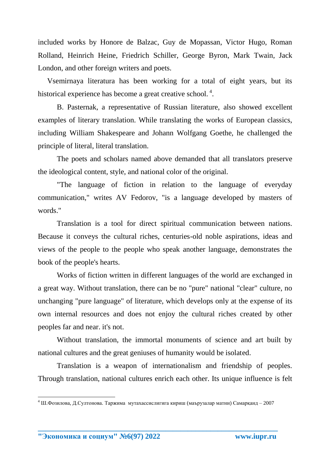included works by Honore de Balzac, Guy de Mopassan, Victor Hugo, Roman Rolland, Heinrich Heine, Friedrich Schiller, George Byron, Mark Twain, Jack London, and other foreign writers and poets.

 Vsemirnaya literatura has been working for a total of eight years, but its historical experience has become a great creative school.<sup>4</sup>.

B. Pasternak, a representative of Russian literature, also showed excellent examples of literary translation. While translating the works of European classics, including William Shakespeare and Johann Wolfgang Goethe, he challenged the principle of literal, literal translation.

The poets and scholars named above demanded that all translators preserve the ideological content, style, and national color of the original.

"The language of fiction in relation to the language of everyday communication," writes AV Fedorov, "is a language developed by masters of words."

Translation is a tool for direct spiritual communication between nations. Because it conveys the cultural riches, centuries-old noble aspirations, ideas and views of the people to the people who speak another language, demonstrates the book of the people's hearts.

Works of fiction written in different languages of the world are exchanged in a great way. Without translation, there can be no "pure" national "clear" culture, no unchanging "pure language" of literature, which develops only at the expense of its own internal resources and does not enjoy the cultural riches created by other peoples far and near. it's not.

Without translation, the immortal monuments of science and art built by national cultures and the great geniuses of humanity would be isolated.

Translation is a weapon of internationalism and friendship of peoples. Through translation, national cultures enrich each other. Its unique influence is felt

**\_\_\_\_\_\_\_\_\_\_\_\_\_\_\_\_\_\_\_\_\_\_\_\_\_\_\_\_\_\_\_\_\_\_\_\_\_\_\_\_\_\_\_\_\_\_\_\_\_\_\_\_\_\_\_\_\_\_\_\_\_\_\_\_**

**"Экономика и социум" №6(97) 2022 www.iupr.ru**

**.** 

<sup>4</sup> Ш.Фозилова, Д.Султонова. Таржима мутахассислигига кириш (маърузалар матни) Самарқанд – 2007